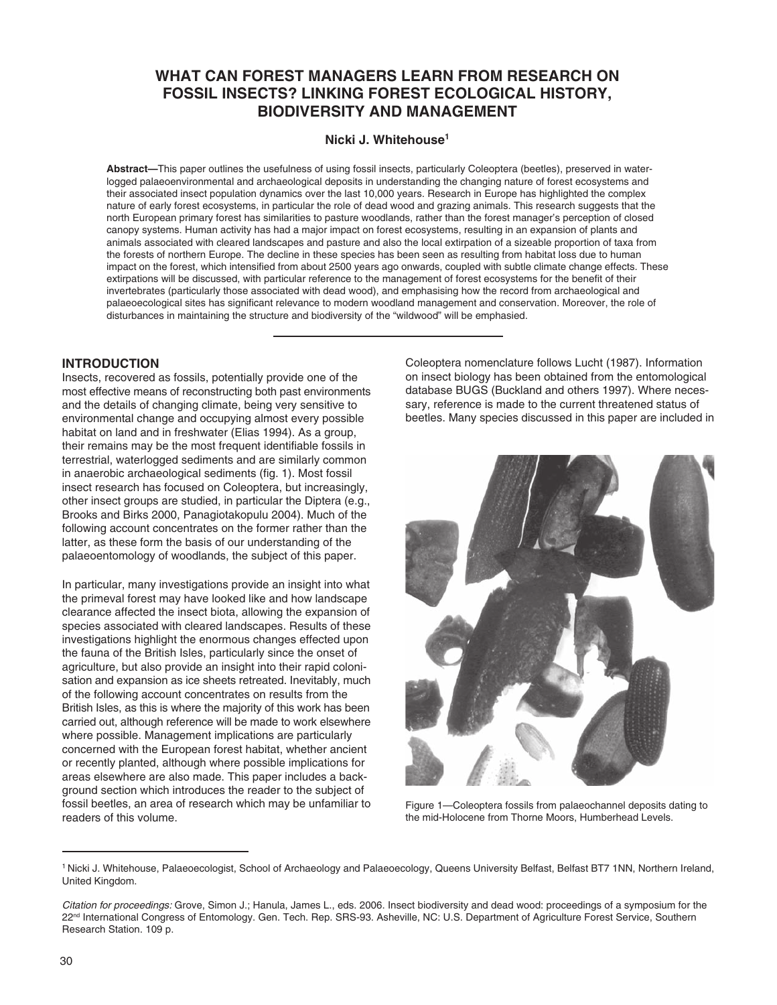# **WHAT CAN FOREST MANAGERS LEARN FROM RESEARCH ON FOSSIL INSECTS? LINKING FOREST ECOLOGICAL HISTORY, BIODIVERSITY AND MANAGEMENT**

## **Nicki J. Whitehouse1**

**Abstract—**This paper outlines the usefulness of using fossil insects, particularly Coleoptera (beetles), preserved in waterlogged palaeoenvironmental and archaeological deposits in understanding the changing nature of forest ecosystems and their associated insect population dynamics over the last 10,000 years. Research in Europe has highlighted the complex nature of early forest ecosystems, in particular the role of dead wood and grazing animals. This research suggests that the north European primary forest has similarities to pasture woodlands, rather than the forest manager's perception of closed canopy systems. Human activity has had a major impact on forest ecosystems, resulting in an expansion of plants and animals associated with cleared landscapes and pasture and also the local extirpation of a sizeable proportion of taxa from the forests of northern Europe. The decline in these species has been seen as resulting from habitat loss due to human impact on the forest, which intensified from about 2500 years ago onwards, coupled with subtle climate change effects. These extirpations will be discussed, with particular reference to the management of forest ecosystems for the benefit of their invertebrates (particularly those associated with dead wood), and emphasising how the record from archaeological and palaeoecological sites has significant relevance to modern woodland management and conservation. Moreover, the role of disturbances in maintaining the structure and biodiversity of the "wildwood" will be emphasied.

### **INTRODUCTION**

Insects, recovered as fossils, potentially provide one of the most effective means of reconstructing both past environments and the details of changing climate, being very sensitive to environmental change and occupying almost every possible habitat on land and in freshwater (Elias 1994). As a group, their remains may be the most frequent identifiable fossils in terrestrial, waterlogged sediments and are similarly common in anaerobic archaeological sediments (fig. 1). Most fossil insect research has focused on Coleoptera, but increasingly, other insect groups are studied, in particular the Diptera (e.g., Brooks and Birks 2000, Panagiotakopulu 2004). Much of the following account concentrates on the former rather than the latter, as these form the basis of our understanding of the palaeoentomology of woodlands, the subject of this paper.

In particular, many investigations provide an insight into what the primeval forest may have looked like and how landscape clearance affected the insect biota, allowing the expansion of species associated with cleared landscapes. Results of these investigations highlight the enormous changes effected upon the fauna of the British Isles, particularly since the onset of agriculture, but also provide an insight into their rapid colonisation and expansion as ice sheets retreated. Inevitably, much of the following account concentrates on results from the British Isles, as this is where the majority of this work has been carried out, although reference will be made to work elsewhere where possible. Management implications are particularly concerned with the European forest habitat, whether ancient or recently planted, although where possible implications for areas elsewhere are also made. This paper includes a background section which introduces the reader to the subject of fossil beetles, an area of research which may be unfamiliar to readers of this volume.

Coleoptera nomenclature follows Lucht (1987). Information on insect biology has been obtained from the entomological database BUGS (Buckland and others 1997). Where necessary, reference is made to the current threatened status of beetles. Many species discussed in this paper are included in



Figure 1—Coleoptera fossils from palaeochannel deposits dating to the mid-Holocene from Thorne Moors, Humberhead Levels.

<sup>&</sup>lt;sup>1</sup> Nicki J. Whitehouse, Palaeoecologist, School of Archaeology and Palaeoecology, Queens University Belfast, Belfast BT7 1NN, Northern Ireland, United Kingdom.

*Citation for proceedings:* Grove, Simon J.; Hanula, James L., eds. 2006. Insect biodiversity and dead wood: proceedings of a symposium for the 22<sup>nd</sup> International Congress of Entomology. Gen. Tech. Rep. SRS-93. Asheville, NC: U.S. Department of Agriculture Forest Service, Southern Research Station. 109 p.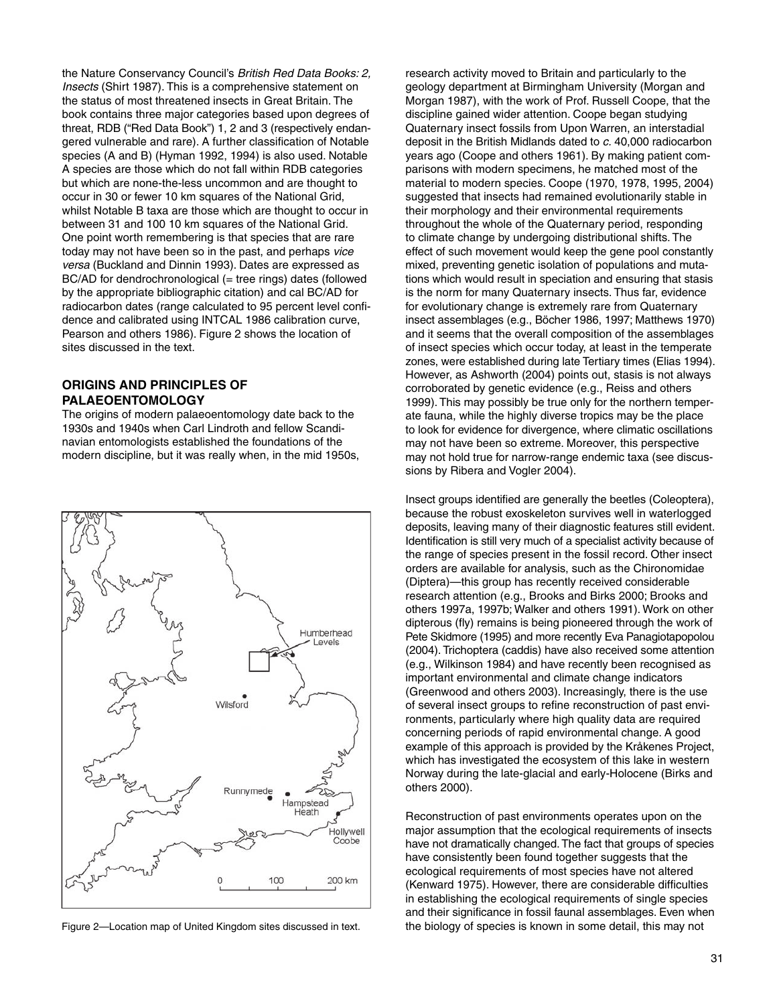the Nature Conservancy Council's *British Red Data Books: 2, Insects* (Shirt 1987). This is a comprehensive statement on the status of most threatened insects in Great Britain. The book contains three major categories based upon degrees of threat, RDB ("Red Data Book") 1, 2 and 3 (respectively endangered vulnerable and rare). A further classification of Notable species (A and B) (Hyman 1992, 1994) is also used. Notable A species are those which do not fall within RDB categories but which are none-the-less uncommon and are thought to occur in 30 or fewer 10 km squares of the National Grid, whilst Notable B taxa are those which are thought to occur in between 31 and 100 10 km squares of the National Grid. One point worth remembering is that species that are rare today may not have been so in the past, and perhaps *vice versa* (Buckland and Dinnin 1993). Dates are expressed as BC/AD for dendrochronological (= tree rings) dates (followed by the appropriate bibliographic citation) and cal BC/AD for radiocarbon dates (range calculated to 95 percent level confidence and calibrated using INTCAL 1986 calibration curve, Pearson and others 1986). Figure 2 shows the location of sites discussed in the text.

## **ORIGINS AND PRINCIPLES OF PALAEOENTOMOLOGY**

The origins of modern palaeoentomology date back to the 1930s and 1940s when Carl Lindroth and fellow Scandinavian entomologists established the foundations of the modern discipline, but it was really when, in the mid 1950s,



research activity moved to Britain and particularly to the geology department at Birmingham University (Morgan and Morgan 1987), with the work of Prof. Russell Coope, that the discipline gained wider attention. Coope began studying Quaternary insect fossils from Upon Warren, an interstadial deposit in the British Midlands dated to *c.* 40,000 radiocarbon years ago (Coope and others 1961). By making patient comparisons with modern specimens, he matched most of the material to modern species. Coope (1970, 1978, 1995, 2004) suggested that insects had remained evolutionarily stable in their morphology and their environmental requirements throughout the whole of the Quaternary period, responding to climate change by undergoing distributional shifts. The effect of such movement would keep the gene pool constantly mixed, preventing genetic isolation of populations and mutations which would result in speciation and ensuring that stasis is the norm for many Quaternary insects. Thus far, evidence for evolutionary change is extremely rare from Quaternary insect assemblages (e.g., Böcher 1986, 1997; Matthews 1970) and it seems that the overall composition of the assemblages of insect species which occur today, at least in the temperate zones, were established during late Tertiary times (Elias 1994). However, as Ashworth (2004) points out, stasis is not always corroborated by genetic evidence (e.g., Reiss and others 1999). This may possibly be true only for the northern temperate fauna, while the highly diverse tropics may be the place to look for evidence for divergence, where climatic oscillations may not have been so extreme. Moreover, this perspective may not hold true for narrow-range endemic taxa (see discussions by Ribera and Vogler 2004).

Insect groups identified are generally the beetles (Coleoptera), because the robust exoskeleton survives well in waterlogged deposits, leaving many of their diagnostic features still evident. Identification is still very much of a specialist activity because of the range of species present in the fossil record. Other insect orders are available for analysis, such as the Chironomidae (Diptera)—this group has recently received considerable research attention (e.g., Brooks and Birks 2000; Brooks and others 1997a, 1997b; Walker and others 1991). Work on other dipterous (fly) remains is being pioneered through the work of Pete Skidmore (1995) and more recently Eva Panagiotapopolou (2004). Trichoptera (caddis) have also received some attention (e.g., Wilkinson 1984) and have recently been recognised as important environmental and climate change indicators (Greenwood and others 2003). Increasingly, there is the use of several insect groups to refine reconstruction of past environments, particularly where high quality data are required concerning periods of rapid environmental change. A good example of this approach is provided by the Kråkenes Project, which has investigated the ecosystem of this lake in western Norway during the late-glacial and early-Holocene (Birks and others 2000).

Reconstruction of past environments operates upon on the major assumption that the ecological requirements of insects have not dramatically changed.The fact that groups of species have consistently been found together suggests that the ecological requirements of most species have not altered (Kenward 1975). However, there are considerable difficulties in establishing the ecological requirements of single species and their significance in fossil faunal assemblages. Even when Figure 2—Location map of United Kingdom sites discussed in text. the biology of species is known in some detail, this may not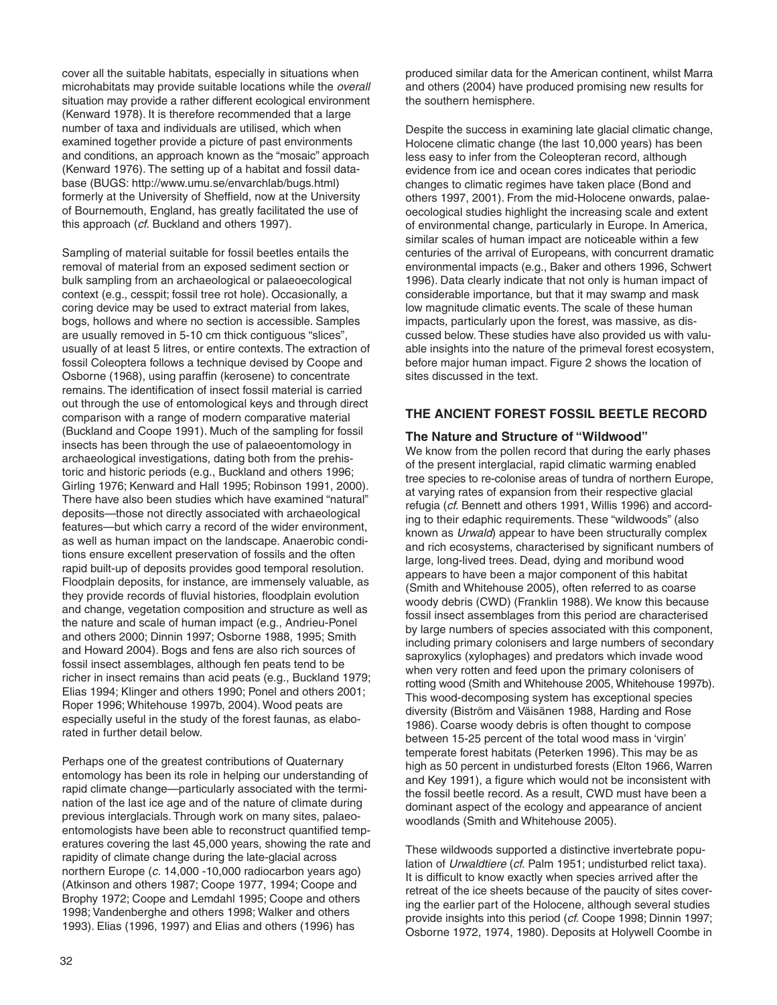cover all the suitable habitats, especially in situations when microhabitats may provide suitable locations while the overall situation may provide a rather different ecological environment (Kenward 1978). It is therefore recommended that a large number of taxa and individuals are utilised, which when examined together provide a picture of past environments and conditions, an approach known as the "mosaic" approach (Kenward 1976). The setting up of a habitat and fossil database (BUGS: http://www.umu.se/envarchlab/bugs.html) formerly at the University of Sheffield, now at the University of Bournemouth, England, has greatly facilitated the use of this approach (cf. Buckland and others 1997).

Sampling of material suitable for fossil beetles entails the removal of material from an exposed sediment section or bulk sampling from an archaeological or palaeoecological context (e.g., cesspit; fossil tree rot hole). Occasionally, a coring device may be used to extract material from lakes, bogs, hollows and where no section is accessible. Samples are usually removed in 5-10 cm thick contiguous "slices", usually of at least 5 litres, or entire contexts. The extraction of fossil Coleoptera follows a technique devised by Coope and Osborne (1968), using paraffin (kerosene) to concentrate remains. The identification of insect fossil material is carried out through the use of entomological keys and through direct comparison with a range of modern comparative material (Buckland and Coope 1991). Much of the sampling for fossil insects has been through the use of palaeoentomology in archaeological investigations, dating both from the prehistoric and historic periods (e.g., Buckland and others 1996; Girling 1976; Kenward and Hall 1995; Robinson 1991, 2000). There have also been studies which have examined "natural" deposits—those not directly associated with archaeological features—but which carry a record of the wider environment, as well as human impact on the landscape. Anaerobic conditions ensure excellent preservation of fossils and the often rapid built-up of deposits provides good temporal resolution. Floodplain deposits, for instance, are immensely valuable, as they provide records of fluvial histories, floodplain evolution and change, vegetation composition and structure as well as the nature and scale of human impact (e.g., Andrieu-Ponel and others 2000; Dinnin 1997; Osborne 1988, 1995; Smith and Howard 2004). Bogs and fens are also rich sources of fossil insect assemblages, although fen peats tend to be richer in insect remains than acid peats (e.g., Buckland 1979; Elias 1994; Klinger and others 1990; Ponel and others 2001; Roper 1996; Whitehouse 1997b, 2004). Wood peats are especially useful in the study of the forest faunas, as elaborated in further detail below.

Perhaps one of the greatest contributions of Quaternary entomology has been its role in helping our understanding of rapid climate change—particularly associated with the termination of the last ice age and of the nature of climate during previous interglacials. Through work on many sites, palaeoentomologists have been able to reconstruct quantified temperatures covering the last 45,000 years, showing the rate and rapidity of climate change during the late-glacial across northern Europe (c. 14,000 -10,000 radiocarbon years ago) (Atkinson and others 1987; Coope 1977, 1994; Coope and Brophy 1972; Coope and Lemdahl 1995; Coope and others 1998; Vandenberghe and others 1998; Walker and others 1993). Elias (1996, 1997) and Elias and others (1996) has

produced similar data for the American continent, whilst Marra and others (2004) have produced promising new results for the southern hemisphere.

Despite the success in examining late glacial climatic change, Holocene climatic change (the last 10,000 years) has been less easy to infer from the Coleopteran record, although evidence from ice and ocean cores indicates that periodic changes to climatic regimes have taken place (Bond and others 1997, 2001). From the mid-Holocene onwards, palaeoecological studies highlight the increasing scale and extent of environmental change, particularly in Europe. In America, similar scales of human impact are noticeable within a few centuries of the arrival of Europeans, with concurrent dramatic environmental impacts (e.g., Baker and others 1996, Schwert 1996). Data clearly indicate that not only is human impact of considerable importance, but that it may swamp and mask low magnitude climatic events. The scale of these human impacts, particularly upon the forest, was massive, as discussed below. These studies have also provided us with valuable insights into the nature of the primeval forest ecosystem, before major human impact. Figure 2 shows the location of sites discussed in the text.

# **THE ANCIENT FOREST FOSSIL BEETLE RECORD**

### **The Nature and Structure of "Wildwood"**

We know from the pollen record that during the early phases of the present interglacial, rapid climatic warming enabled tree species to re-colonise areas of tundra of northern Europe, at varying rates of expansion from their respective glacial refugia (cf. Bennett and others 1991, Willis 1996) and according to their edaphic requirements. These "wildwoods" (also known as Urwald) appear to have been structurally complex and rich ecosystems, characterised by significant numbers of large, long-lived trees. Dead, dying and moribund wood appears to have been a major component of this habitat (Smith and Whitehouse 2005), often referred to as coarse woody debris (CWD) (Franklin 1988). We know this because fossil insect assemblages from this period are characterised by large numbers of species associated with this component, including primary colonisers and large numbers of secondary saproxylics (xylophages) and predators which invade wood when very rotten and feed upon the primary colonisers of rotting wood (Smith and Whitehouse 2005, Whitehouse 1997b). This wood-decomposing system has exceptional species diversity (Biström and Väisänen 1988, Harding and Rose 1986). Coarse woody debris is often thought to compose between 15-25 percent of the total wood mass in 'virgin' temperate forest habitats (Peterken 1996). This may be as high as 50 percent in undisturbed forests (Elton 1966, Warren and Key 1991), a figure which would not be inconsistent with the fossil beetle record. As a result, CWD must have been a dominant aspect of the ecology and appearance of ancient woodlands (Smith and Whitehouse 2005).

These wildwoods supported a distinctive invertebrate population of Urwaldtiere (cf. Palm 1951; undisturbed relict taxa). It is difficult to know exactly when species arrived after the retreat of the ice sheets because of the paucity of sites covering the earlier part of the Holocene, although several studies provide insights into this period (cf. Coope 1998; Dinnin 1997; Osborne 1972, 1974, 1980). Deposits at Holywell Coombe in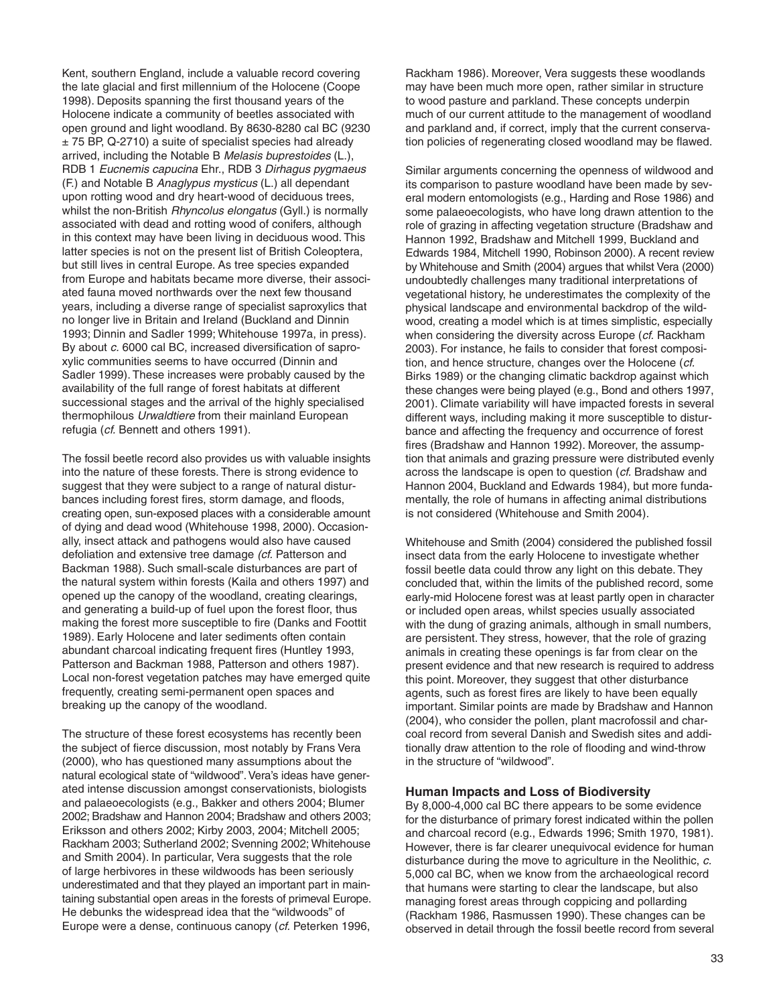Kent, southern England, include a valuable record covering the late glacial and first millennium of the Holocene (Coope 1998). Deposits spanning the first thousand years of the Holocene indicate a community of beetles associated with open ground and light woodland. By 8630-8280 cal BC (9230 ± 75 BP, Q-2710) a suite of specialist species had already arrived, including the Notable B Melasis buprestoides (L.), RDB 1 Eucnemis capucina Ehr., RDB 3 Dirhagus pygmaeus (F.) and Notable B Anaglypus mysticus (L.) all dependant upon rotting wood and dry heart-wood of deciduous trees, whilst the non-British Rhyncolus elongatus (Gyll.) is normally associated with dead and rotting wood of conifers, although in this context may have been living in deciduous wood. This latter species is not on the present list of British Coleoptera, but still lives in central Europe. As tree species expanded from Europe and habitats became more diverse, their associated fauna moved northwards over the next few thousand years, including a diverse range of specialist saproxylics that no longer live in Britain and Ireland (Buckland and Dinnin 1993; Dinnin and Sadler 1999; Whitehouse 1997a, in press). By about c. 6000 cal BC, increased diversification of saproxylic communities seems to have occurred (Dinnin and Sadler 1999). These increases were probably caused by the availability of the full range of forest habitats at different successional stages and the arrival of the highly specialised thermophilous Urwaldtiere from their mainland European refugia (cf. Bennett and others 1991).

The fossil beetle record also provides us with valuable insights into the nature of these forests. There is strong evidence to suggest that they were subject to a range of natural disturbances including forest fires, storm damage, and floods, creating open, sun-exposed places with a considerable amount of dying and dead wood (Whitehouse 1998, 2000). Occasionally, insect attack and pathogens would also have caused defoliation and extensive tree damage (cf. Patterson and Backman 1988). Such small-scale disturbances are part of the natural system within forests (Kaila and others 1997) and opened up the canopy of the woodland, creating clearings, and generating a build-up of fuel upon the forest floor, thus making the forest more susceptible to fire (Danks and Foottit 1989). Early Holocene and later sediments often contain abundant charcoal indicating frequent fires (Huntley 1993, Patterson and Backman 1988, Patterson and others 1987). Local non-forest vegetation patches may have emerged quite frequently, creating semi-permanent open spaces and breaking up the canopy of the woodland.

The structure of these forest ecosystems has recently been the subject of fierce discussion, most notably by Frans Vera (2000), who has questioned many assumptions about the natural ecological state of "wildwood". Vera's ideas have generated intense discussion amongst conservationists, biologists and palaeoecologists (e.g., Bakker and others 2004; Blumer 2002; Bradshaw and Hannon 2004; Bradshaw and others 2003; Eriksson and others 2002; Kirby 2003, 2004; Mitchell 2005; Rackham 2003; Sutherland 2002; Svenning 2002; Whitehouse and Smith 2004). In particular, Vera suggests that the role of large herbivores in these wildwoods has been seriously underestimated and that they played an important part in maintaining substantial open areas in the forests of primeval Europe. He debunks the widespread idea that the "wildwoods" of Europe were a dense, continuous canopy (cf. Peterken 1996,

Rackham 1986). Moreover, Vera suggests these woodlands may have been much more open, rather similar in structure to wood pasture and parkland. These concepts underpin much of our current attitude to the management of woodland and parkland and, if correct, imply that the current conservation policies of regenerating closed woodland may be flawed.

Similar arguments concerning the openness of wildwood and its comparison to pasture woodland have been made by several modern entomologists (e.g., Harding and Rose 1986) and some palaeoecologists, who have long drawn attention to the role of grazing in affecting vegetation structure (Bradshaw and Hannon 1992, Bradshaw and Mitchell 1999, Buckland and Edwards 1984, Mitchell 1990, Robinson 2000). A recent review by Whitehouse and Smith (2004) argues that whilst Vera (2000) undoubtedly challenges many traditional interpretations of vegetational history, he underestimates the complexity of the physical landscape and environmental backdrop of the wildwood, creating a model which is at times simplistic, especially when considering the diversity across Europe (cf. Rackham 2003). For instance, he fails to consider that forest composition, and hence structure, changes over the Holocene (cf. Birks 1989) or the changing climatic backdrop against which these changes were being played (e.g., Bond and others 1997, 2001). Climate variability will have impacted forests in several different ways, including making it more susceptible to disturbance and affecting the frequency and occurrence of forest fires (Bradshaw and Hannon 1992). Moreover, the assumption that animals and grazing pressure were distributed evenly across the landscape is open to question (cf. Bradshaw and Hannon 2004, Buckland and Edwards 1984), but more fundamentally, the role of humans in affecting animal distributions is not considered (Whitehouse and Smith 2004).

Whitehouse and Smith (2004) considered the published fossil insect data from the early Holocene to investigate whether fossil beetle data could throw any light on this debate. They concluded that, within the limits of the published record, some early-mid Holocene forest was at least partly open in character or included open areas, whilst species usually associated with the dung of grazing animals, although in small numbers, are persistent. They stress, however, that the role of grazing animals in creating these openings is far from clear on the present evidence and that new research is required to address this point. Moreover, they suggest that other disturbance agents, such as forest fires are likely to have been equally important. Similar points are made by Bradshaw and Hannon (2004), who consider the pollen, plant macrofossil and charcoal record from several Danish and Swedish sites and additionally draw attention to the role of flooding and wind-throw in the structure of "wildwood".

#### **Human Impacts and Loss of Biodiversity**

By 8,000-4,000 cal BC there appears to be some evidence for the disturbance of primary forest indicated within the pollen and charcoal record (e.g., Edwards 1996; Smith 1970, 1981). However, there is far clearer unequivocal evidence for human disturbance during the move to agriculture in the Neolithic, c. 5,000 cal BC, when we know from the archaeological record that humans were starting to clear the landscape, but also managing forest areas through coppicing and pollarding (Rackham 1986, Rasmussen 1990). These changes can be observed in detail through the fossil beetle record from several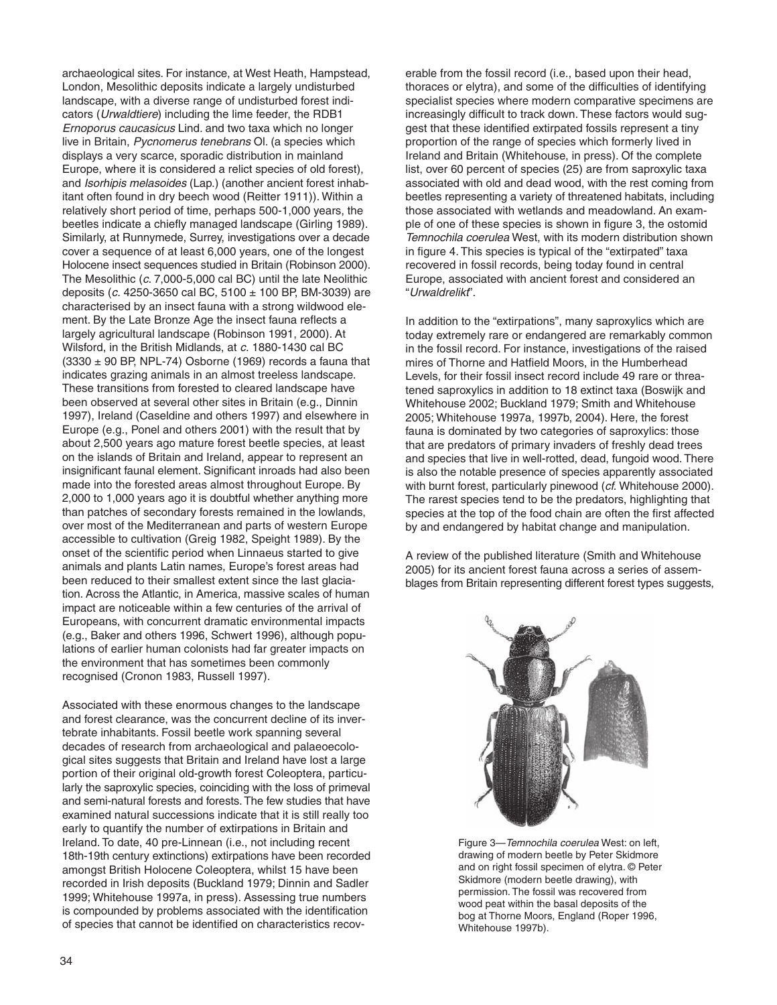archaeological sites. For instance, at West Heath, Hampstead, London, Mesolithic deposits indicate a largely undisturbed landscape, with a diverse range of undisturbed forest indicators (Urwaldtiere) including the lime feeder, the RDB1 Ernoporus caucasicus Lind. and two taxa which no longer live in Britain, Pycnomerus tenebrans OI. (a species which displays a very scarce, sporadic distribution in mainland Europe, where it is considered a relict species of old forest), and Isorhipis melasoides (Lap.) (another ancient forest inhabitant often found in dry beech wood (Reitter 1911)). Within a relatively short period of time, perhaps 500-1,000 years, the beetles indicate a chiefly managed landscape (Girling 1989). Similarly, at Runnymede, Surrey, investigations over a decade cover a sequence of at least 6,000 years, one of the longest Holocene insect sequences studied in Britain (Robinson 2000). The Mesolithic (c. 7,000-5,000 cal BC) until the late Neolithic deposits (c. 4250-3650 cal BC, 5100 ± 100 BP, BM-3039) are characterised by an insect fauna with a strong wildwood element. By the Late Bronze Age the insect fauna reflects a largely agricultural landscape (Robinson 1991, 2000). At Wilsford, in the British Midlands, at c. 1880-1430 cal BC  $(3330 \pm 90$  BP, NPL-74) Osborne (1969) records a fauna that indicates grazing animals in an almost treeless landscape. These transitions from forested to cleared landscape have been observed at several other sites in Britain (e.g., Dinnin 1997), Ireland (Caseldine and others 1997) and elsewhere in Europe (e.g., Ponel and others 2001) with the result that by about 2,500 years ago mature forest beetle species, at least on the islands of Britain and Ireland, appear to represent an insignificant faunal element. Significant inroads had also been made into the forested areas almost throughout Europe. By 2,000 to 1,000 years ago it is doubtful whether anything more than patches of secondary forests remained in the lowlands, over most of the Mediterranean and parts of western Europe accessible to cultivation (Greig 1982, Speight 1989). By the onset of the scientific period when Linnaeus started to give animals and plants Latin names, Europe's forest areas had been reduced to their smallest extent since the last glaciation. Across the Atlantic, in America, massive scales of human impact are noticeable within a few centuries of the arrival of Europeans, with concurrent dramatic environmental impacts (e.g., Baker and others 1996, Schwert 1996), although populations of earlier human colonists had far greater impacts on the environment that has sometimes been commonly recognised (Cronon 1983, Russell 1997).

Associated with these enormous changes to the landscape and forest clearance, was the concurrent decline of its invertebrate inhabitants. Fossil beetle work spanning several decades of research from archaeological and palaeoecological sites suggests that Britain and Ireland have lost a large portion of their original old-growth forest Coleoptera, particularly the saproxylic species, coinciding with the loss of primeval and semi-natural forests and forests. The few studies that have examined natural successions indicate that it is still really too early to quantify the number of extirpations in Britain and Ireland. To date, 40 pre-Linnean (i.e., not including recent 18th-19th century extinctions) extirpations have been recorded amongst British Holocene Coleoptera, whilst 15 have been recorded in Irish deposits (Buckland 1979; Dinnin and Sadler 1999; Whitehouse 1997a, in press). Assessing true numbers is compounded by problems associated with the identification of species that cannot be identified on characteristics recov-

erable from the fossil record (i.e., based upon their head, thoraces or elytra), and some of the difficulties of identifying specialist species where modern comparative specimens are increasingly difficult to track down. These factors would suggest that these identified extirpated fossils represent a tiny proportion of the range of species which formerly lived in Ireland and Britain (Whitehouse, in press). Of the complete list, over 60 percent of species (25) are from saproxylic taxa associated with old and dead wood, with the rest coming from beetles representing a variety of threatened habitats, including those associated with wetlands and meadowland. An example of one of these species is shown in figure 3, the ostomid Temnochila coerulea West, with its modern distribution shown in figure 4. This species is typical of the "extirpated" taxa recovered in fossil records, being today found in central Europe, associated with ancient forest and considered an "Urwaldrelikt".

In addition to the "extirpations", many saproxylics which are today extremely rare or endangered are remarkably common in the fossil record. For instance, investigations of the raised mires of Thorne and Hatfield Moors, in the Humberhead Levels, for their fossil insect record include 49 rare or threatened saproxylics in addition to 18 extinct taxa (Boswijk and Whitehouse 2002; Buckland 1979; Smith and Whitehouse 2005; Whitehouse 1997a, 1997b, 2004). Here, the forest fauna is dominated by two categories of saproxylics: those that are predators of primary invaders of freshly dead trees and species that live in well-rotted, dead, fungoid wood. There is also the notable presence of species apparently associated with burnt forest, particularly pinewood (cf. Whitehouse 2000). The rarest species tend to be the predators, highlighting that species at the top of the food chain are often the first affected by and endangered by habitat change and manipulation.

A review of the published literature (Smith and Whitehouse 2005) for its ancient forest fauna across a series of assemblages from Britain representing different forest types suggests,



Figure 3—Temnochila coerulea West: on left, drawing of modern beetle by Peter Skidmore and on right fossil specimen of elytra. © Peter Skidmore (modern beetle drawing), with permission. The fossil was recovered from wood peat within the basal deposits of the bog at Thorne Moors, England (Roper 1996, Whitehouse 1997b).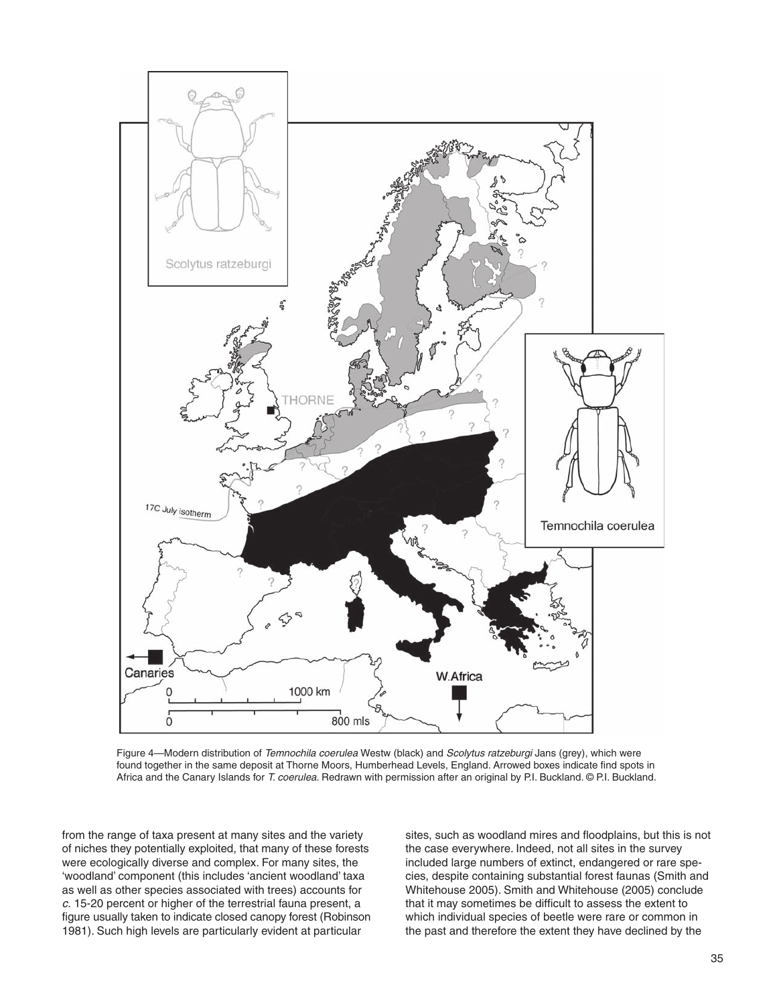

Figure 4—Modern distribution of Temnochila coerulea Westw (black) and Scolytus ratzeburgi Jans (grey), which were found together in the same deposit at Thorne Moors, Humberhead Levels, England. Arrowed boxes indicate find spots in Africa and the Canary Islands for T. coerulea. Redrawn with permission after an original by P.I. Buckland. © P.I. Buckland.

from the range of taxa present at many sites and the variety of niches they potentially exploited, that many of these forests were ecologically diverse and complex. For many sites, the 'woodland' component (this includes 'ancient woodland' taxa as well as other species associated with trees) accounts for c. 15-20 percent or higher of the terrestrial fauna present, a figure usually taken to indicate closed canopy forest (Robinson 1981). Such high levels are particularly evident at particular

sites, such as woodland mires and floodplains, but this is not the case everywhere. Indeed, not all sites in the survey included large numbers of extinct, endangered or rare species, despite containing substantial forest faunas (Smith and Whitehouse 2005). Smith and Whitehouse (2005) conclude that it may sometimes be difficult to assess the extent to which individual species of beetle were rare or common in the past and therefore the extent they have declined by the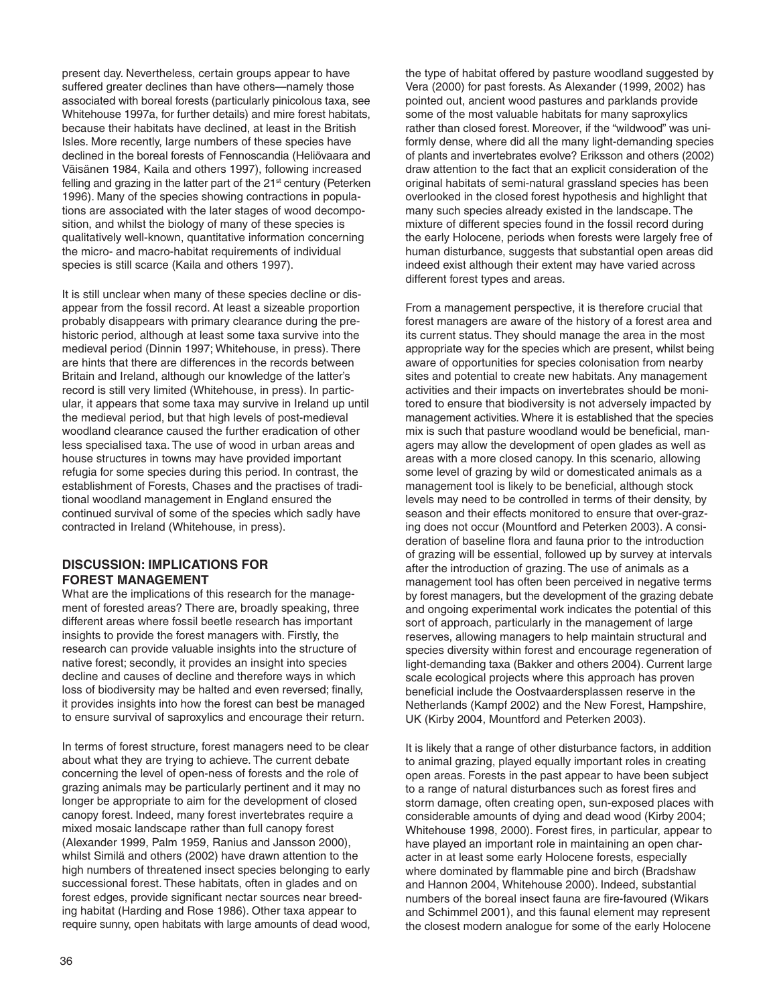present day. Nevertheless, certain groups appear to have suffered greater declines than have others—namely those associated with boreal forests (particularly pinicolous taxa, see Whitehouse 1997a, for further details) and mire forest habitats, because their habitats have declined, at least in the British Isles. More recently, large numbers of these species have declined in the boreal forests of Fennoscandia (Heliövaara and Väisänen 1984, Kaila and others 1997), following increased felling and grazing in the latter part of the  $21<sup>st</sup>$  century (Peterken 1996). Many of the species showing contractions in populations are associated with the later stages of wood decomposition, and whilst the biology of many of these species is qualitatively well-known, quantitative information concerning the micro- and macro-habitat requirements of individual species is still scarce (Kaila and others 1997).

It is still unclear when many of these species decline or disappear from the fossil record. At least a sizeable proportion probably disappears with primary clearance during the prehistoric period, although at least some taxa survive into the medieval period (Dinnin 1997; Whitehouse, in press). There are hints that there are differences in the records between Britain and Ireland, although our knowledge of the latter's record is still very limited (Whitehouse, in press). In particular, it appears that some taxa may survive in Ireland up until the medieval period, but that high levels of post-medieval woodland clearance caused the further eradication of other less specialised taxa. The use of wood in urban areas and house structures in towns may have provided important refugia for some species during this period. In contrast, the establishment of Forests, Chases and the practises of traditional woodland management in England ensured the continued survival of some of the species which sadly have contracted in Ireland (Whitehouse, in press).

### **DISCUSSION: IMPLICATIONS FOR FOREST MANAGEMENT**

What are the implications of this research for the management of forested areas? There are, broadly speaking, three different areas where fossil beetle research has important insights to provide the forest managers with. Firstly, the research can provide valuable insights into the structure of native forest; secondly, it provides an insight into species decline and causes of decline and therefore ways in which loss of biodiversity may be halted and even reversed; finally, it provides insights into how the forest can best be managed to ensure survival of saproxylics and encourage their return.

In terms of forest structure, forest managers need to be clear about what they are trying to achieve. The current debate concerning the level of open-ness of forests and the role of grazing animals may be particularly pertinent and it may no longer be appropriate to aim for the development of closed canopy forest. Indeed, many forest invertebrates require a mixed mosaic landscape rather than full canopy forest (Alexander 1999, Palm 1959, Ranius and Jansson 2000), whilst Similä and others (2002) have drawn attention to the high numbers of threatened insect species belonging to early successional forest. These habitats, often in glades and on forest edges, provide significant nectar sources near breeding habitat (Harding and Rose 1986). Other taxa appear to require sunny, open habitats with large amounts of dead wood,

the type of habitat offered by pasture woodland suggested by Vera (2000) for past forests. As Alexander (1999, 2002) has pointed out, ancient wood pastures and parklands provide some of the most valuable habitats for many saproxylics rather than closed forest. Moreover, if the "wildwood" was uniformly dense, where did all the many light-demanding species of plants and invertebrates evolve? Eriksson and others (2002) draw attention to the fact that an explicit consideration of the original habitats of semi-natural grassland species has been overlooked in the closed forest hypothesis and highlight that many such species already existed in the landscape. The mixture of different species found in the fossil record during the early Holocene, periods when forests were largely free of human disturbance, suggests that substantial open areas did indeed exist although their extent may have varied across different forest types and areas.

From a management perspective, it is therefore crucial that forest managers are aware of the history of a forest area and its current status. They should manage the area in the most appropriate way for the species which are present, whilst being aware of opportunities for species colonisation from nearby sites and potential to create new habitats. Any management activities and their impacts on invertebrates should be monitored to ensure that biodiversity is not adversely impacted by management activities. Where it is established that the species mix is such that pasture woodland would be beneficial, managers may allow the development of open glades as well as areas with a more closed canopy. In this scenario, allowing some level of grazing by wild or domesticated animals as a management tool is likely to be beneficial, although stock levels may need to be controlled in terms of their density, by season and their effects monitored to ensure that over-grazing does not occur (Mountford and Peterken 2003). A consideration of baseline flora and fauna prior to the introduction of grazing will be essential, followed up by survey at intervals after the introduction of grazing. The use of animals as a management tool has often been perceived in negative terms by forest managers, but the development of the grazing debate and ongoing experimental work indicates the potential of this sort of approach, particularly in the management of large reserves, allowing managers to help maintain structural and species diversity within forest and encourage regeneration of light-demanding taxa (Bakker and others 2004). Current large scale ecological projects where this approach has proven beneficial include the Oostvaardersplassen reserve in the Netherlands (Kampf 2002) and the New Forest, Hampshire, UK (Kirby 2004, Mountford and Peterken 2003).

It is likely that a range of other disturbance factors, in addition to animal grazing, played equally important roles in creating open areas. Forests in the past appear to have been subject to a range of natural disturbances such as forest fires and storm damage, often creating open, sun-exposed places with considerable amounts of dying and dead wood (Kirby 2004; Whitehouse 1998, 2000). Forest fires, in particular, appear to have played an important role in maintaining an open character in at least some early Holocene forests, especially where dominated by flammable pine and birch (Bradshaw and Hannon 2004, Whitehouse 2000). Indeed, substantial numbers of the boreal insect fauna are fire-favoured (Wikars and Schimmel 2001), and this faunal element may represent the closest modern analogue for some of the early Holocene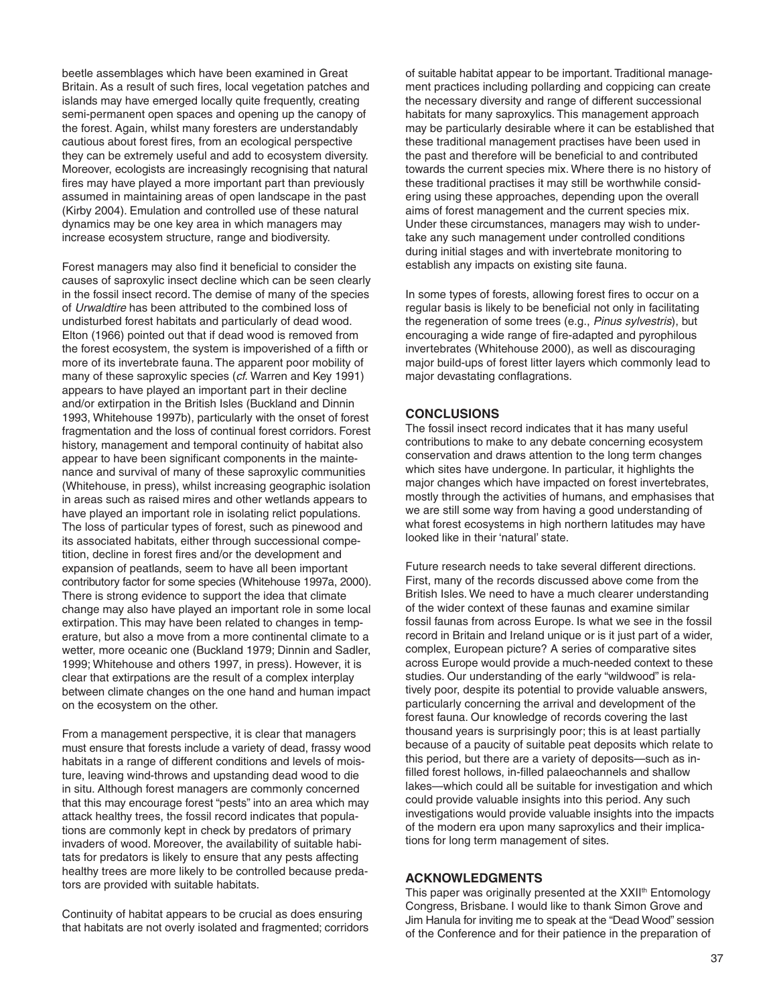beetle assemblages which have been examined in Great Britain. As a result of such fires, local vegetation patches and islands may have emerged locally quite frequently, creating semi-permanent open spaces and opening up the canopy of the forest. Again, whilst many foresters are understandably cautious about forest fires, from an ecological perspective they can be extremely useful and add to ecosystem diversity. Moreover, ecologists are increasingly recognising that natural fires may have played a more important part than previously assumed in maintaining areas of open landscape in the past (Kirby 2004). Emulation and controlled use of these natural dynamics may be one key area in which managers may increase ecosystem structure, range and biodiversity.

Forest managers may also find it beneficial to consider the causes of saproxylic insect decline which can be seen clearly in the fossil insect record. The demise of many of the species of Urwaldtire has been attributed to the combined loss of undisturbed forest habitats and particularly of dead wood. Elton (1966) pointed out that if dead wood is removed from the forest ecosystem, the system is impoverished of a fifth or more of its invertebrate fauna. The apparent poor mobility of many of these saproxylic species (cf. Warren and Key 1991) appears to have played an important part in their decline and/or extirpation in the British Isles (Buckland and Dinnin 1993, Whitehouse 1997b), particularly with the onset of forest fragmentation and the loss of continual forest corridors. Forest history, management and temporal continuity of habitat also appear to have been significant components in the maintenance and survival of many of these saproxylic communities (Whitehouse, in press), whilst increasing geographic isolation in areas such as raised mires and other wetlands appears to have played an important role in isolating relict populations. The loss of particular types of forest, such as pinewood and its associated habitats, either through successional competition, decline in forest fires and/or the development and expansion of peatlands, seem to have all been important contributory factor for some species (Whitehouse 1997a, 2000). There is strong evidence to support the idea that climate change may also have played an important role in some local extirpation. This may have been related to changes in temperature, but also a move from a more continental climate to a wetter, more oceanic one (Buckland 1979; Dinnin and Sadler, 1999; Whitehouse and others 1997, in press). However, it is clear that extirpations are the result of a complex interplay between climate changes on the one hand and human impact on the ecosystem on the other.

From a management perspective, it is clear that managers must ensure that forests include a variety of dead, frassy wood habitats in a range of different conditions and levels of moisture, leaving wind-throws and upstanding dead wood to die in situ. Although forest managers are commonly concerned that this may encourage forest "pests" into an area which may attack healthy trees, the fossil record indicates that populations are commonly kept in check by predators of primary invaders of wood. Moreover, the availability of suitable habitats for predators is likely to ensure that any pests affecting healthy trees are more likely to be controlled because predators are provided with suitable habitats.

Continuity of habitat appears to be crucial as does ensuring that habitats are not overly isolated and fragmented; corridors

of suitable habitat appear to be important. Traditional management practices including pollarding and coppicing can create the necessary diversity and range of different successional habitats for many saproxylics. This management approach may be particularly desirable where it can be established that these traditional management practises have been used in the past and therefore will be beneficial to and contributed towards the current species mix. Where there is no history of these traditional practises it may still be worthwhile considering using these approaches, depending upon the overall aims of forest management and the current species mix. Under these circumstances, managers may wish to undertake any such management under controlled conditions during initial stages and with invertebrate monitoring to establish any impacts on existing site fauna.

In some types of forests, allowing forest fires to occur on a regular basis is likely to be beneficial not only in facilitating the regeneration of some trees (e.g., Pinus sylvestris), but encouraging a wide range of fire-adapted and pyrophilous invertebrates (Whitehouse 2000), as well as discouraging major build-ups of forest litter layers which commonly lead to major devastating conflagrations.

#### **CONCLUSIONS**

The fossil insect record indicates that it has many useful contributions to make to any debate concerning ecosystem conservation and draws attention to the long term changes which sites have undergone. In particular, it highlights the major changes which have impacted on forest invertebrates, mostly through the activities of humans, and emphasises that we are still some way from having a good understanding of what forest ecosystems in high northern latitudes may have looked like in their 'natural' state.

Future research needs to take several different directions. First, many of the records discussed above come from the British Isles. We need to have a much clearer understanding of the wider context of these faunas and examine similar fossil faunas from across Europe. Is what we see in the fossil record in Britain and Ireland unique or is it just part of a wider, complex, European picture? A series of comparative sites across Europe would provide a much-needed context to these studies. Our understanding of the early "wildwood" is relatively poor, despite its potential to provide valuable answers, particularly concerning the arrival and development of the forest fauna. Our knowledge of records covering the last thousand years is surprisingly poor; this is at least partially because of a paucity of suitable peat deposits which relate to this period, but there are a variety of deposits—such as infilled forest hollows, in-filled palaeochannels and shallow lakes—which could all be suitable for investigation and which could provide valuable insights into this period. Any such investigations would provide valuable insights into the impacts of the modern era upon many saproxylics and their implications for long term management of sites.

#### **ACKNOWLEDGMENTS**

This paper was originally presented at the XXII<sup>th</sup> Entomology Congress, Brisbane. I would like to thank Simon Grove and Jim Hanula for inviting me to speak at the "Dead Wood" session of the Conference and for their patience in the preparation of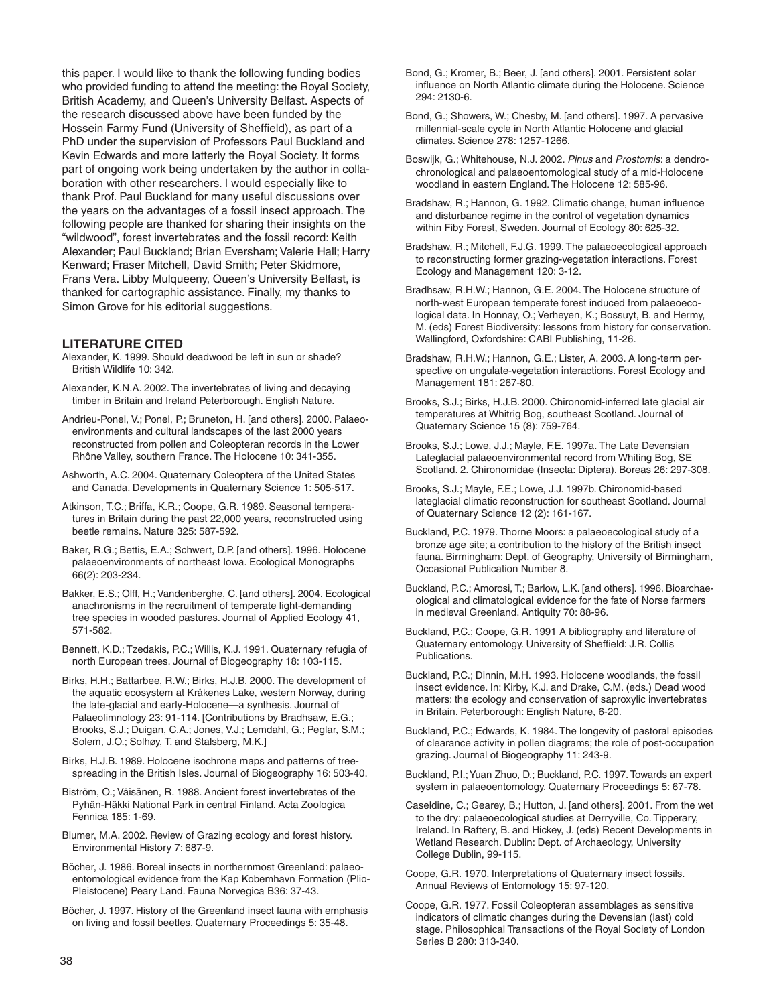this paper. I would like to thank the following funding bodies who provided funding to attend the meeting: the Royal Society, British Academy, and Queen's University Belfast. Aspects of the research discussed above have been funded by the Hossein Farmy Fund (University of Sheffield), as part of a PhD under the supervision of Professors Paul Buckland and Kevin Edwards and more latterly the Royal Society. It forms part of ongoing work being undertaken by the author in collaboration with other researchers. I would especially like to thank Prof. Paul Buckland for many useful discussions over the years on the advantages of a fossil insect approach. The following people are thanked for sharing their insights on the "wildwood", forest invertebrates and the fossil record: Keith Alexander; Paul Buckland; Brian Eversham; Valerie Hall; Harry Kenward; Fraser Mitchell, David Smith; Peter Skidmore, Frans Vera. Libby Mulqueeny, Queen's University Belfast, is thanked for cartographic assistance. Finally, my thanks to Simon Grove for his editorial suggestions.

#### **LITERATURE CITED**

- Alexander, K. 1999. Should deadwood be left in sun or shade? British Wildlife 10: 342.
- Alexander, K.N.A. 2002. The invertebrates of living and decaying timber in Britain and Ireland Peterborough. English Nature.
- Andrieu-Ponel, V.; Ponel, P.; Bruneton, H. [and others]. 2000. Palaeoenvironments and cultural landscapes of the last 2000 years reconstructed from pollen and Coleopteran records in the Lower Rhône Valley, southern France. The Holocene 10: 341-355.
- Ashworth, A.C. 2004. Quaternary Coleoptera of the United States and Canada. Developments in Quaternary Science 1: 505-517.
- Atkinson, T.C.; Briffa, K.R.; Coope, G.R. 1989. Seasonal temperatures in Britain during the past 22,000 years, reconstructed using beetle remains. Nature 325: 587-592.
- Baker, R.G.; Bettis, E.A.; Schwert, D.P. [and others]. 1996. Holocene palaeoenvironments of northeast Iowa. Ecological Monographs 66(2): 203-234.
- Bakker, E.S.; Olff, H.; Vandenberghe, C. [and others]. 2004. Ecological anachronisms in the recruitment of temperate light-demanding tree species in wooded pastures. Journal of Applied Ecology 41, 571-582.
- Bennett, K.D.; Tzedakis, P.C.; Willis, K.J. 1991. Quaternary refugia of north European trees. Journal of Biogeography 18: 103-115.
- Birks, H.H.; Battarbee, R.W.; Birks, H.J.B. 2000. The development of the aquatic ecosystem at Kråkenes Lake, western Norway, during the late-glacial and early-Holocene—a synthesis. Journal of Palaeolimnology 23: 91-114. [Contributions by Bradhsaw, E.G. Brooks, S.J.; Duigan, C.A.; Jones, V.J.; Lemdahl, G.; Peglar, S.M.; Solem, J.O.; Solhøy, T. and Stalsberg, M.K.]
- Birks, H.J.B. 1989. Holocene isochrone maps and patterns of treespreading in the British Isles. Journal of Biogeography 16: 503-40.
- Biström, O.; Väisänen, R. 1988. Ancient forest invertebrates of the Pyhän-Häkki National Park in central Finland. Acta Zoologica Fennica 185: 1-69.
- Blumer, M.A. 2002. Review of Grazing ecology and forest history. Environmental History 7: 687-9.
- Böcher, J. 1986. Boreal insects in northernmost Greenland: palaeoentomological evidence from the Kap Kobemhavn Formation (Plio-Pleistocene) Peary Land. Fauna Norvegica B36: 37-43.
- Böcher, J. 1997. History of the Greenland insect fauna with emphasis on living and fossil beetles. Quaternary Proceedings 5: 35-48.
- Bond, G.; Kromer, B.; Beer, J. [and others]. 2001. Persistent solar influence on North Atlantic climate during the Holocene. Science 294: 2130-6.
- Bond, G.; Showers, W.; Chesby, M. [and others]. 1997. A pervasive millennial-scale cycle in North Atlantic Holocene and glacial climates. Science 278: 1257-1266.
- Boswijk, G.; Whitehouse, N.J. 2002. Pinus and Prostomis: a dendrochronological and palaeoentomological study of a mid-Holocene woodland in eastern England. The Holocene 12: 585-96.
- Bradshaw, R.; Hannon, G. 1992. Climatic change, human influence and disturbance regime in the control of vegetation dynamics within Fiby Forest, Sweden. Journal of Ecology 80: 625-32.
- Bradshaw, R.; Mitchell, F.J.G. 1999. The palaeoecological approach to reconstructing former grazing-vegetation interactions. Forest Ecology and Management 120: 3-12.
- Bradhsaw, R.H.W.; Hannon, G.E. 2004. The Holocene structure of north-west European temperate forest induced from palaeoecological data. In Honnay, O.; Verheyen, K.; Bossuyt, B. and Hermy, M. (eds) Forest Biodiversity: lessons from history for conservation. Wallingford, Oxfordshire: CABI Publishing, 11-26.
- Bradshaw, R.H.W.; Hannon, G.E.; Lister, A. 2003. A long-term perspective on ungulate-vegetation interactions. Forest Ecology and Management 181: 267-80.
- Brooks, S.J.; Birks, H.J.B. 2000. Chironomid-inferred late glacial air temperatures at Whitrig Bog, southeast Scotland. Journal of Quaternary Science 15 (8): 759-764.
- Brooks, S.J.; Lowe, J.J.; Mayle, F.E. 1997a. The Late Devensian Lateglacial palaeoenvironmental record from Whiting Bog, SE Scotland. 2. Chironomidae (Insecta: Diptera). Boreas 26: 297-308.
- Brooks, S.J.; Mayle, F.E.; Lowe, J.J. 1997b. Chironomid-based lateglacial climatic reconstruction for southeast Scotland. Journal of Quaternary Science 12 (2): 161-167.
- Buckland, P.C. 1979. Thorne Moors: a palaeoecological study of a bronze age site; a contribution to the history of the British insect fauna. Birmingham: Dept. of Geography, University of Birmingham, Occasional Publication Number 8.
- Buckland, P.C.; Amorosi, T.; Barlow, L.K. [and others]. 1996. Bioarchaeological and climatological evidence for the fate of Norse farmers in medieval Greenland. Antiquity 70: 88-96.
- Buckland, P.C.; Coope, G.R. 1991 A bibliography and literature of Quaternary entomology. University of Sheffield: J.R. Collis Publications.
- Buckland, P.C.; Dinnin, M.H. 1993. Holocene woodlands, the fossil insect evidence. In: Kirby, K.J. and Drake, C.M. (eds.) Dead wood matters: the ecology and conservation of saproxylic invertebrates in Britain. Peterborough: English Nature, 6-20.
- Buckland, P.C.; Edwards, K. 1984. The longevity of pastoral episodes of clearance activity in pollen diagrams; the role of post-occupation grazing. Journal of Biogeography 11: 243-9.
- Buckland, P.I.; Yuan Zhuo, D.; Buckland, P.C. 1997. Towards an expert system in palaeoentomology. Quaternary Proceedings 5: 67-78.
- Caseldine, C.; Gearey, B.; Hutton, J. [and others]. 2001. From the wet to the dry: palaeoecological studies at Derryville, Co. Tipperary, Ireland. In Raftery, B. and Hickey, J. (eds) Recent Developments in Wetland Research. Dublin: Dept. of Archaeology, University College Dublin, 99-115.
- Coope, G.R. 1970. Interpretations of Quaternary insect fossils. Annual Reviews of Entomology 15: 97-120.
- Coope, G.R. 1977. Fossil Coleopteran assemblages as sensitive indicators of climatic changes during the Devensian (last) cold stage. Philosophical Transactions of the Royal Society of London Series B 280: 313-340.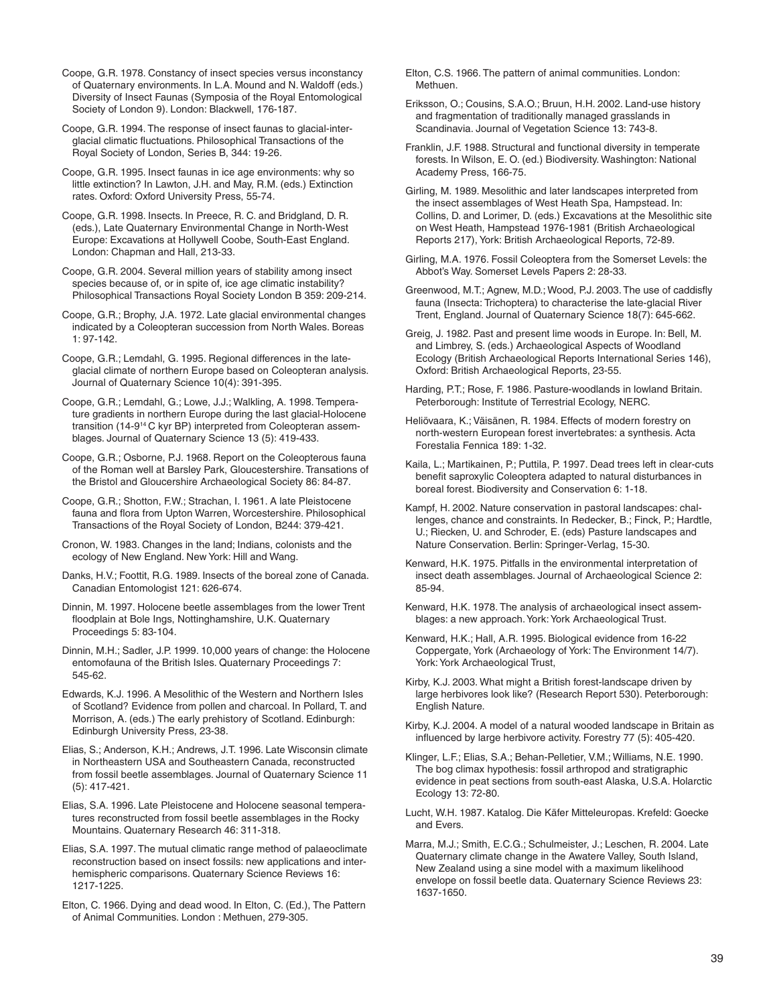Coope, G.R. 1978. Constancy of insect species versus inconstancy of Quaternary environments. In L.A. Mound and N. Waldoff (eds.) Diversity of Insect Faunas (Symposia of the Royal Entomological Society of London 9). London: Blackwell, 176-187.

Coope, G.R. 1994. The response of insect faunas to glacial-interglacial climatic fluctuations. Philosophical Transactions of the Royal Society of London, Series B, 344: 19-26.

Coope, G.R. 1995. Insect faunas in ice age environments: why so little extinction? In Lawton, J.H. and May, R.M. (eds.) Extinction rates. Oxford: Oxford University Press, 55-74.

Coope, G.R. 1998. Insects. In Preece, R. C. and Bridgland, D. R. (eds.), Late Quaternary Environmental Change in North-West Europe: Excavations at Hollywell Coobe, South-East England. London: Chapman and Hall, 213-33.

Coope, G.R. 2004. Several million years of stability among insect species because of, or in spite of, ice age climatic instability? Philosophical Transactions Royal Society London B 359: 209-214.

Coope, G.R.; Brophy, J.A. 1972. Late glacial environmental changes indicated by a Coleopteran succession from North Wales. Boreas 1: 97-142.

Coope, G.R.; Lemdahl, G. 1995. Regional differences in the lateglacial climate of northern Europe based on Coleopteran analysis. Journal of Quaternary Science 10(4): 391-395.

Coope, G.R.; Lemdahl, G.; Lowe, J.J.; Walkling, A. 1998. Temperature gradients in northern Europe during the last glacial-Holocene transition (14-914 C kyr BP) interpreted from Coleopteran assemblages. Journal of Quaternary Science 13 (5): 419-433.

Coope, G.R.; Osborne, P.J. 1968. Report on the Coleopterous fauna of the Roman well at Barsley Park, Gloucestershire. Transations of the Bristol and Gloucershire Archaeological Society 86: 84-87.

Coope, G.R.; Shotton, F.W.; Strachan, I. 1961. A late Pleistocene fauna and flora from Upton Warren, Worcestershire. Philosophical Transactions of the Royal Society of London, B244: 379-421.

Cronon, W. 1983. Changes in the land; Indians, colonists and the ecology of New England. New York: Hill and Wang.

Danks, H.V.; Foottit, R.G. 1989. Insects of the boreal zone of Canada. Canadian Entomologist 121: 626-674.

Dinnin, M. 1997. Holocene beetle assemblages from the lower Trent floodplain at Bole Ings, Nottinghamshire, U.K. Quaternary Proceedings 5: 83-104.

Dinnin, M.H.; Sadler, J.P. 1999. 10,000 years of change: the Holocene entomofauna of the British Isles. Quaternary Proceedings 7: 545-62.

Edwards, K.J. 1996. A Mesolithic of the Western and Northern Isles of Scotland? Evidence from pollen and charcoal. In Pollard, T. and Morrison, A. (eds.) The early prehistory of Scotland. Edinburgh: Edinburgh University Press, 23-38.

Elias, S.; Anderson, K.H.; Andrews, J.T. 1996. Late Wisconsin climate in Northeastern USA and Southeastern Canada, reconstructed from fossil beetle assemblages. Journal of Quaternary Science 11 (5): 417-421.

Elias, S.A. 1996. Late Pleistocene and Holocene seasonal temperatures reconstructed from fossil beetle assemblages in the Rocky Mountains. Quaternary Research 46: 311-318.

Elias, S.A. 1997. The mutual climatic range method of palaeoclimate reconstruction based on insect fossils: new applications and interhemispheric comparisons. Quaternary Science Reviews 16: 1217-1225.

Elton, C. 1966. Dying and dead wood. In Elton, C. (Ed.), The Pattern of Animal Communities. London : Methuen, 279-305.

Elton, C.S. 1966. The pattern of animal communities. London: Methuen.

Eriksson, O.; Cousins, S.A.O.; Bruun, H.H. 2002. Land-use history and fragmentation of traditionally managed grasslands in Scandinavia. Journal of Vegetation Science 13: 743-8.

Franklin, J.F. 1988. Structural and functional diversity in temperate forests. In Wilson, E. O. (ed.) Biodiversity. Washington: National Academy Press, 166-75.

Girling, M. 1989. Mesolithic and later landscapes interpreted from the insect assemblages of West Heath Spa, Hampstead. In: Collins, D. and Lorimer, D. (eds.) Excavations at the Mesolithic site on West Heath, Hampstead 1976-1981 (British Archaeological Reports 217), York: British Archaeological Reports, 72-89.

Girling, M.A. 1976. Fossil Coleoptera from the Somerset Levels: the Abbot's Way. Somerset Levels Papers 2: 28-33.

Greenwood, M.T.; Agnew, M.D.; Wood, P.J. 2003. The use of caddisfly fauna (Insecta: Trichoptera) to characterise the late-glacial River Trent, England. Journal of Quaternary Science 18(7): 645-662.

Greig, J. 1982. Past and present lime woods in Europe. In: Bell, M. and Limbrey, S. (eds.) Archaeological Aspects of Woodland Ecology (British Archaeological Reports International Series 146), Oxford: British Archaeological Reports, 23-55.

Harding, P.T.; Rose, F. 1986. Pasture-woodlands in lowland Britain. Peterborough: Institute of Terrestrial Ecology, NERC.

Heliövaara, K.; Väisänen, R. 1984. Effects of modern forestry on north-western European forest invertebrates: a synthesis. Acta Forestalia Fennica 189: 1-32.

Kaila, L.; Martikainen, P.; Puttila, P. 1997. Dead trees left in clear-cuts benefit saproxylic Coleoptera adapted to natural disturbances in boreal forest. Biodiversity and Conservation 6: 1-18.

Kampf, H. 2002. Nature conservation in pastoral landscapes: challenges, chance and constraints. In Redecker, B.; Finck, P.; Hardtle, U.; Riecken, U. and Schroder, E. (eds) Pasture landscapes and Nature Conservation. Berlin: Springer-Verlag, 15-30.

Kenward, H.K. 1975. Pitfalls in the environmental interpretation of insect death assemblages. Journal of Archaeological Science 2: 85-94.

Kenward, H.K. 1978. The analysis of archaeological insect assemblages: a new approach. York: York Archaeological Trust.

Kenward, H.K.; Hall, A.R. 1995. Biological evidence from 16-22 Coppergate, York (Archaeology of York: The Environment 14/7). York: York Archaeological Trust,

Kirby, K.J. 2003. What might a British forest-landscape driven by large herbivores look like? (Research Report 530). Peterborough: English Nature.

Kirby, K.J. 2004. A model of a natural wooded landscape in Britain as influenced by large herbivore activity. Forestry 77 (5): 405-420.

Klinger, L.F.; Elias, S.A.; Behan-Pelletier, V.M.; Williams, N.E. 1990. The bog climax hypothesis: fossil arthropod and stratigraphic evidence in peat sections from south-east Alaska, U.S.A. Holarctic Ecology 13: 72-80.

Lucht, W.H. 1987. Katalog. Die Käfer Mitteleuropas. Krefeld: Goecke and Evers.

Marra, M.J.; Smith, E.C.G.; Schulmeister, J.; Leschen, R. 2004. Late Quaternary climate change in the Awatere Valley, South Island, New Zealand using a sine model with a maximum likelihood envelope on fossil beetle data. Quaternary Science Reviews 23: 1637-1650.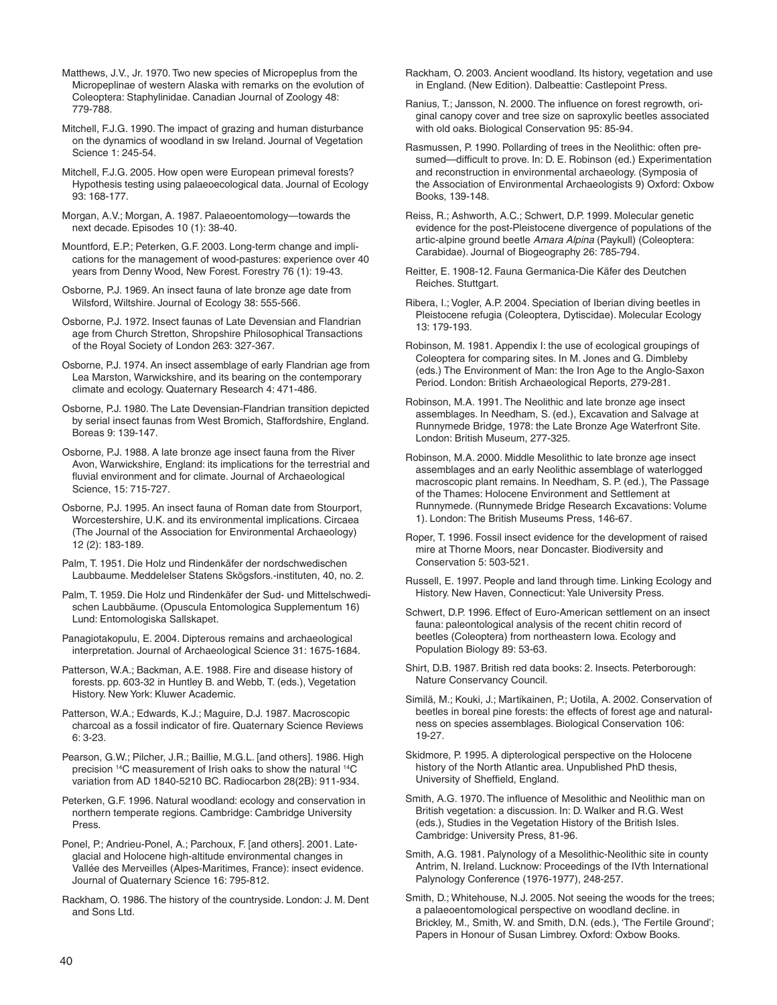Matthews, J.V., Jr. 1970. Two new species of Micropeplus from the Micropeplinae of western Alaska with remarks on the evolution of Coleoptera: Staphylinidae. Canadian Journal of Zoology 48: 779-788.

Mitchell, F.J.G. 1990. The impact of grazing and human disturbance on the dynamics of woodland in sw Ireland. Journal of Vegetation Science 1: 245-54.

Mitchell, F.J.G. 2005. How open were European primeval forests? Hypothesis testing using palaeoecological data. Journal of Ecology 93: 168-177.

Morgan, A.V.; Morgan, A. 1987. Palaeoentomology—towards the next decade. Episodes 10 (1): 38-40.

Mountford, E.P.; Peterken, G.F. 2003. Long-term change and implications for the management of wood-pastures: experience over 40 years from Denny Wood, New Forest. Forestry 76 (1): 19-43.

Osborne, P.J. 1969. An insect fauna of late bronze age date from Wilsford, Wiltshire. Journal of Ecology 38: 555-566.

Osborne, P.J. 1972. Insect faunas of Late Devensian and Flandrian age from Church Stretton, Shropshire Philosophical Transactions of the Royal Society of London 263: 327-367.

Osborne, P.J. 1974. An insect assemblage of early Flandrian age from Lea Marston, Warwickshire, and its bearing on the contemporary climate and ecology. Quaternary Research 4: 471-486.

Osborne, P.J. 1980. The Late Devensian-Flandrian transition depicted by serial insect faunas from West Bromich, Staffordshire, England. Boreas 9: 139-147.

Osborne, P.J. 1988. A late bronze age insect fauna from the River Avon, Warwickshire, England: its implications for the terrestrial and fluvial environment and for climate. Journal of Archaeological Science, 15: 715-727.

Osborne, P.J. 1995. An insect fauna of Roman date from Stourport, Worcestershire, U.K. and its environmental implications. Circaea (The Journal of the Association for Environmental Archaeology) 12 (2): 183-189.

Palm, T. 1951. Die Holz und Rindenkäfer der nordschwedischen Laubbaume. Meddelelser Statens Skögsfors.-instituten, 40, no. 2.

Palm, T. 1959. Die Holz und Rindenkäfer der Sud- und Mittelschwedischen Laubbäume. (Opuscula Entomologica Supplementum 16) Lund: Entomologiska Sallskapet.

Panagiotakopulu, E. 2004. Dipterous remains and archaeological interpretation. Journal of Archaeological Science 31: 1675-1684.

Patterson, W.A.; Backman, A.E. 1988. Fire and disease history of forests. pp. 603-32 in Huntley B. and Webb, T. (eds.), Vegetation History. New York: Kluwer Academic.

Patterson, W.A.; Edwards, K.J.; Maguire, D.J. 1987. Macroscopic charcoal as a fossil indicator of fire. Quaternary Science Reviews 6: 3-23.

Pearson, G.W.; Pilcher, J.R.; Baillie, M.G.L. [and others]. 1986. High precision 14C measurement of Irish oaks to show the natural 14C variation from AD 1840-5210 BC. Radiocarbon 28(2B): 911-934.

Peterken, G.F. 1996. Natural woodland: ecology and conservation in northern temperate regions. Cambridge: Cambridge University Press.

Ponel, P.; Andrieu-Ponel, A.; Parchoux, F. [and others]. 2001. Lateglacial and Holocene high-altitude environmental changes in Vallée des Merveilles (Alpes-Maritimes, France): insect evidence. Journal of Quaternary Science 16: 795-812.

Rackham, O. 1986. The history of the countryside. London: J. M. Dent and Sons Ltd.

Rackham, O. 2003. Ancient woodland. Its history, vegetation and use in England. (New Edition). Dalbeattie: Castlepoint Press.

Ranius, T.; Jansson, N. 2000. The influence on forest regrowth, original canopy cover and tree size on saproxylic beetles associated with old oaks. Biological Conservation 95: 85-94.

Rasmussen, P. 1990. Pollarding of trees in the Neolithic: often presumed—difficult to prove. In: D. E. Robinson (ed.) Experimentation and reconstruction in environmental archaeology. (Symposia of the Association of Environmental Archaeologists 9) Oxford: Oxbow Books, 139-148.

Reiss, R.; Ashworth, A.C.; Schwert, D.P. 1999. Molecular genetic evidence for the post-Pleistocene divergence of populations of the artic-alpine ground beetle Amara Alpina (Paykull) (Coleoptera: Carabidae). Journal of Biogeography 26: 785-794.

Reitter, E. 1908-12. Fauna Germanica-Die Käfer des Deutchen Reiches. Stuttgart.

Ribera, I.; Vogler, A.P. 2004. Speciation of Iberian diving beetles in Pleistocene refugia (Coleoptera, Dytiscidae). Molecular Ecology 13: 179-193.

Robinson, M. 1981. Appendix I: the use of ecological groupings of Coleoptera for comparing sites. In M. Jones and G. Dimbleby (eds.) The Environment of Man: the Iron Age to the Anglo-Saxon Period. London: British Archaeological Reports, 279-281.

Robinson, M.A. 1991. The Neolithic and late bronze age insect assemblages. In Needham, S. (ed.), Excavation and Salvage at Runnymede Bridge, 1978: the Late Bronze Age Waterfront Site. London: British Museum, 277-325.

Robinson, M.A. 2000. Middle Mesolithic to late bronze age insect assemblages and an early Neolithic assemblage of waterlogged macroscopic plant remains. In Needham, S. P. (ed.), The Passage of the Thames: Holocene Environment and Settlement at Runnymede. (Runnymede Bridge Research Excavations: Volume 1). London: The British Museums Press, 146-67.

Roper, T. 1996. Fossil insect evidence for the development of raised mire at Thorne Moors, near Doncaster. Biodiversity and Conservation 5: 503-521.

Russell, E. 1997. People and land through time. Linking Ecology and History. New Haven, Connecticut: Yale University Press.

Schwert, D.P. 1996. Effect of Euro-American settlement on an insect fauna: paleontological analysis of the recent chitin record of beetles (Coleoptera) from northeastern Iowa. Ecology and Population Biology 89: 53-63.

Shirt, D.B. 1987. British red data books: 2. Insects. Peterborough: Nature Conservancy Council.

Similä, M.; Kouki, J.; Martikainen, P.; Uotila, A. 2002. Conservation of beetles in boreal pine forests: the effects of forest age and naturalness on species assemblages. Biological Conservation 106: 19-27.

Skidmore, P. 1995. A dipterological perspective on the Holocene history of the North Atlantic area. Unpublished PhD thesis, University of Sheffield, England.

Smith, A.G. 1970. The influence of Mesolithic and Neolithic man on British vegetation: a discussion. In: D. Walker and R.G. West (eds.), Studies in the Vegetation History of the British Isles. Cambridge: University Press, 81-96.

Smith, A.G. 1981. Palynology of a Mesolithic-Neolithic site in county Antrim, N. Ireland. Lucknow: Proceedings of the IVth International Palynology Conference (1976-1977), 248-257.

Smith, D.; Whitehouse, N.J. 2005. Not seeing the woods for the trees; a palaeoentomological perspective on woodland decline. in Brickley, M., Smith, W. and Smith, D.N. (eds.), 'The Fertile Ground'; Papers in Honour of Susan Limbrey. Oxford: Oxbow Books.